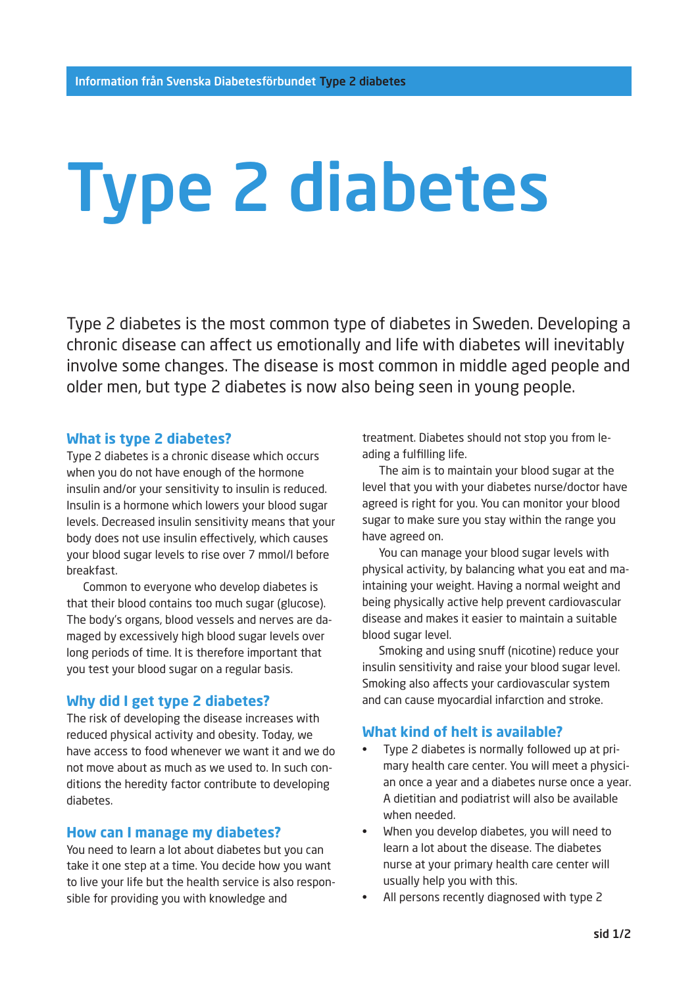# Type 2 diabetes

Type 2 diabetes is the most common type of diabetes in Sweden. Developing a chronic disease can affect us emotionally and life with diabetes will inevitably involve some changes. The disease is most common in middle aged people and older men, but type 2 diabetes is now also being seen in young people.

### **What is type 2 diabetes?**

Type 2 diabetes is a chronic disease which occurs when you do not have enough of the hormone insulin and/or your sensitivity to insulin is reduced. Insulin is a hormone which lowers your blood sugar levels. Decreased insulin sensitivity means that your body does not use insulin effectively, which causes your blood sugar levels to rise over 7 mmol/l before breakfast.

Common to everyone who develop diabetes is that their blood contains too much sugar (glucose). The body's organs, blood vessels and nerves are damaged by excessively high blood sugar levels over long periods of time. It is therefore important that you test your blood sugar on a regular basis.

## **Why did I get type 2 diabetes?**

The risk of developing the disease increases with reduced physical activity and obesity. Today, we have access to food whenever we want it and we do not move about as much as we used to. In such conditions the heredity factor contribute to developing diabetes.

#### **How can I manage my diabetes?**

You need to learn a lot about diabetes but you can take it one step at a time. You decide how you want to live your life but the health service is also responsible for providing you with knowledge and

treatment. Diabetes should not stop you from leading a fulfilling life.

The aim is to maintain your blood sugar at the level that you with your diabetes nurse/doctor have agreed is right for you. You can monitor your blood sugar to make sure you stay within the range you have agreed on.

You can manage your blood sugar levels with physical activity, by balancing what you eat and maintaining your weight. Having a normal weight and being physically active help prevent cardiovascular disease and makes it easier to maintain a suitable blood sugar level.

Smoking and using snuff (nicotine) reduce your insulin sensitivity and raise your blood sugar level. Smoking also affects your cardiovascular system and can cause myocardial infarction and stroke.

#### **What kind of helt is available?**

- Type 2 diabetes is normally followed up at primary health care center. You will meet a physician once a year and a diabetes nurse once a year. A dietitian and podiatrist will also be available when needed.
- When you develop diabetes, you will need to learn a lot about the disease. The diabetes nurse at your primary health care center will usually help you with this.
- All persons recently diagnosed with type 2